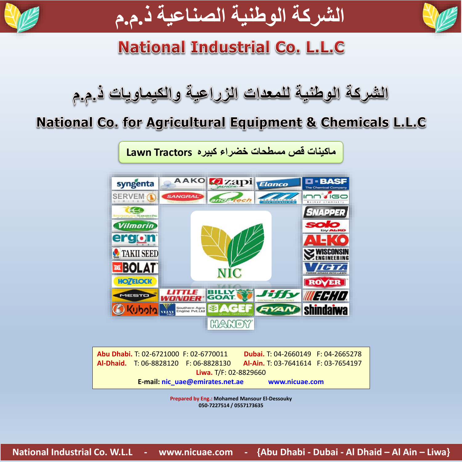



# **National Industrial Co. L.L.C**

الشركة الوطنية للمعدات الزراعية والكيماويات ذ.م.م

# National Co. for Agricultural Equipment & Chemicals L.L.C

**ماكينات قص مسطحات خضراء كبيره Tractors Lawn**



|                       |                                 | Abu Dhabi. T: 02-6721000 F: 02-6770011 | Dubai. T: 04-2660149 F: 04-2665278  |  |
|-----------------------|---------------------------------|----------------------------------------|-------------------------------------|--|
|                       |                                 | Al-Dhaid. T: 06-8828120 F: 06-8828130  | Al-Ain. T: 03-7641614 F: 03-7654197 |  |
| Liwa. T/F: 02-8829660 |                                 |                                        |                                     |  |
|                       | E-mail: nic uae@emirates.net.ae |                                        | www.nicuae.com                      |  |

**Prepared by Eng.: Mohamed Mansour El-Dessouky 050-7227514 / 0557173635**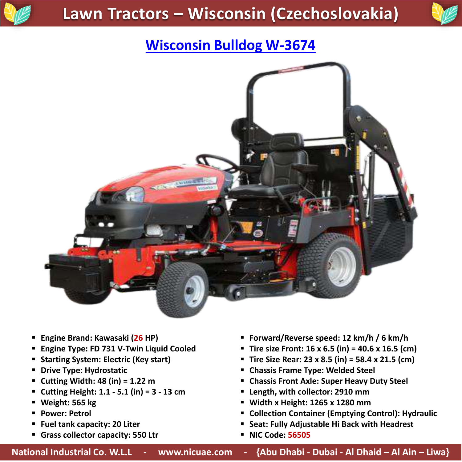



# **Wisconsin Bulldog W-3674**



- **Engine Brand: Kawasaki (26 HP)**
- **Engine Type: FD 731 V-Twin Liquid Cooled**
- **F** Starting System: Electric (Key start)
- **P** Drive Type: Hydrostatic
- **Cutting Width: 48 (in) = 1.22 m**
- **Cutting Height: 1.1 - 5.1 (in) = 3 - 13 cm**
- **Weight: 565 kg**
- **Power: Petrol**
- **Fuel tank capacity: 20 Liter**
- **Grass collector capacity: 550 Ltr**
- **Forward/Reverse speed: 12 km/h / 6 km/h**
- **Tire size Front: 16 x 6.5 (in) = 40.6 x 16.5 (cm)**
- **Tire Size Rear: 23 x 8.5 (in) = 58.4 x 21.5 (cm)**
- **Chassis Frame Type: Welded Steel**
- **Chassis Front Axle: Super Heavy Duty Steel**
- **Length, with collector: 2910 mm**
- **Width x Height: 1265 x 1280 mm**
- **Collection Container (Emptying Control): Hydraulic**
- **Seat: Fully Adjustable Hi Back with Headrest**
- **NIC Code: 56505**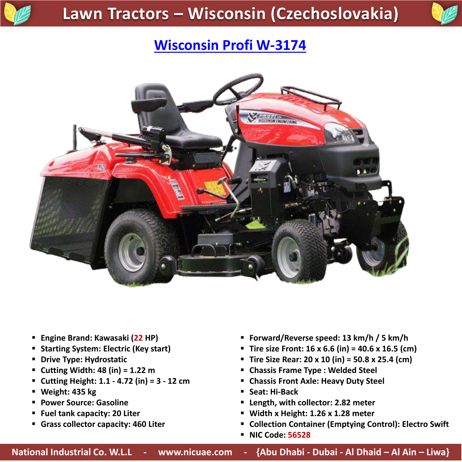



#### **Wisconsin Profi W-3174**



- **Engine Brand: Kawasaki (22 HP)**
- **F** Starting System: Electric (Key start)
- **P** Drive Type: Hydrostatic
- **Cutting Width: 48 (in) = 1.22 m**
- **Cutting Height: 1.1 - 4.72 (in) = 3 - 12 cm**
- **Weight: 435 kg**
- **Power Source: Gasoline**
- **Fuel tank capacity: 20 Liter**
- **Grass collector capacity: 460 Liter**
- **Forward/Reverse speed: 13 km/h / 5 km/h**
- **Tire size Front: 16 x 6.6 (in) = 40.6 x 16.5 (cm)**
- **Tire Size Rear: 20 x 10 (in) = 50.8 x 25.4 (cm)**
- **Chassis Frame Type : Welded Steel**
- **Chassis Front Axle: Heavy Duty Steel**
- **Seat: Hi-Back**
- **Length, with collector: 2.82 meter**
- **Width x Height: 1.26 x 1.28 meter**
- **Collection Container (Emptying Control): Electro Swift**
- **NIC Code: 56528**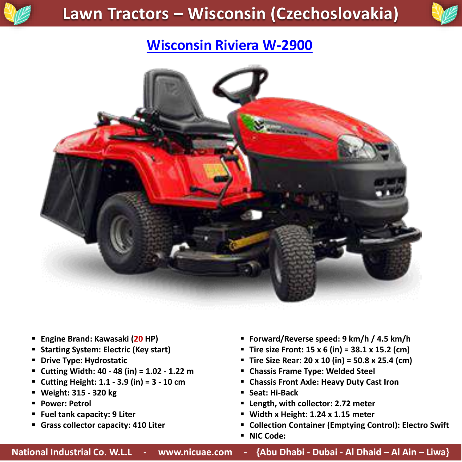



### **Wisconsin Riviera W-2900**



- **Engine Brand: Kawasaki (20 HP)**
- **F** Starting System: Electric (Key start)
- **P** Drive Type: Hydrostatic
- **Cutting Width: 40 - 48 (in) = 1.02 - 1.22 m**
- **Cutting Height: 1.1 - 3.9 (in) = 3 - 10 cm**
- **Weight: 315 - 320 kg**
- **Power: Petrol**
- **Fuel tank capacity: 9 Liter**
- **Grass collector capacity: 410 Liter**
- **Forward/Reverse speed: 9 km/h / 4.5 km/h**
- **Tire size Front: 15 x 6 (in) = 38.1 x 15.2 (cm)**
- **Tire Size Rear: 20 x 10 (in) = 50.8 x 25.4 (cm)**
- **Chassis Frame Type: Welded Steel**
- **Chassis Front Axle: Heavy Duty Cast Iron**
- **Seat: Hi-Back**
- **Length, with collector: 2.72 meter**
- **Width x Height: 1.24 x 1.15 meter**
- **Collection Container (Emptying Control): Electro Swift**
- **NIC Code:**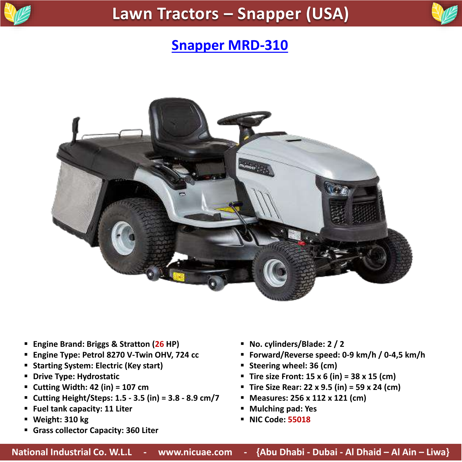



#### **Snapper MRD-310**



- **Engine Brand: Briggs & Stratton (26 HP)**
- **Engine Type: Petrol 8270 V-Twin OHV, 724 cc**
- **Starting System: Electric (Key start)**
- **P** Drive Type: Hydrostatic
- **Cutting Width: 42 (in) = 107 cm**
- **Cutting Height/Steps: 1.5 - 3.5 (in) = 3.8 - 8.9 cm/7**
- **Fuel tank capacity: 11 Liter**
- **Weight: 310 kg**
- **Grass collector Capacity: 360 Liter**
- **No. cylinders/Blade: 2 / 2**
- **Forward/Reverse speed: 0-9 km/h / 0-4,5 km/h**
- **Steering wheel: 36 (cm)**
- **Tire size Front: 15 x 6 (in) = 38 x 15 (cm)**
- **Tire Size Rear: 22 x 9.5 (in) = 59 x 24 (cm)**
- **Measures: 256 x 112 x 121 (cm)**
- **Mulching pad: Yes**
- **NIC Code: 55018**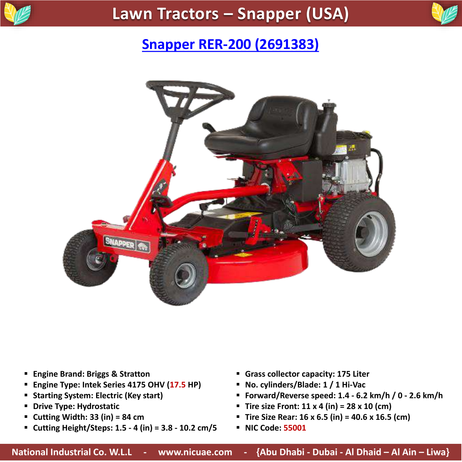



#### **[Snapper RER-200 \(2691383\)](https://www.nicuae.com/lawn-tractors)**



- **Engine Brand: Briggs & Stratton**
- **Engine Type: Intek Series 4175 OHV (17.5 HP)**
- **F** Starting System: Electric (Key start)
- **P** Drive Type: Hydrostatic
- **Cutting Width: 33 (in) = 84 cm**
- **Cutting Height/Steps: 1.5 - 4 (in) = 3.8 - 10.2 cm/5**
- **Grass collector capacity: 175 Liter**
- **No. cylinders/Blade: 1 / 1 Hi-Vac**
- **Forward/Reverse speed: 1.4 - 6.2 km/h / 0 - 2.6 km/h**
- **Tire size Front: 11 x 4 (in) = 28 x 10 (cm)**
- **Tire Size Rear: 16 x 6.5 (in) = 40.6 x 16.5 (cm)**
- **NIC Code: 55001**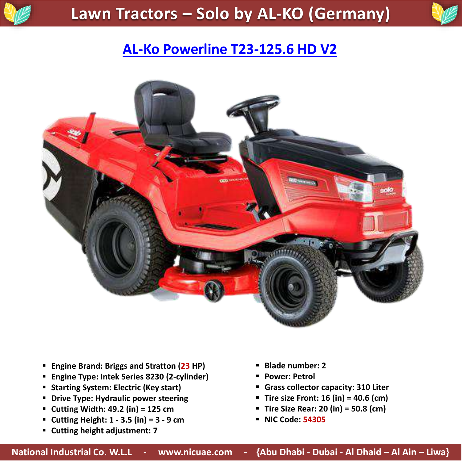



# **[AL-Ko Powerline T23-125.6 HD V2](https://www.nicuae.com/lawn-tractors)**



- **Engine Brand: Briggs and Stratton (23 HP)**
- **Engine Type: Intek Series 8230 (2-cylinder)**
- **F** Starting System: Electric (Key start)
- **P** Drive Type: Hydraulic power steering
- **Cutting Width: 49.2 (in) = 125 cm**
- **Cutting Height: 1 - 3.5 (in) = 3 - 9 cm**
- **Cutting height adjustment: 7**
- **Blade number: 2**
- **Power: Petrol**
- **Grass collector capacity: 310 Liter**
- **Tire size Front: 16 (in) = 40.6 (cm)**
- **Tire Size Rear: 20 (in) = 50.8 (cm)**
- **NIC Code: 54305**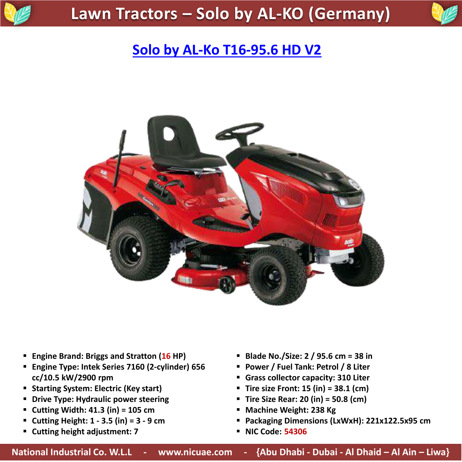

# **[Solo by AL-Ko T16-95.6 HD V2](https://www.nicuae.com/lawn-tractors)**



- **Engine Brand: Briggs and Stratton (16 HP)**
- **Engine Type: Intek Series 7160 (2-cylinder) 656 cc/10.5 kW/2900 rpm**
- **Starting System: Electric (Key start)**
- **Drive Type: Hydraulic power steering**
- **Cutting Width: 41.3 (in) = 105 cm**
- **Cutting Height: 1 - 3.5 (in) = 3 - 9 cm**
- **Cutting height adjustment: 7**
- **Blade No./Size: 2 / 95.6 cm = 38 in**
- **Power / Fuel Tank: Petrol / 8 Liter**
- **Grass collector capacity: 310 Liter**
- **Tire size Front: 15 (in) = 38.1 (cm)**
- **Tire Size Rear: 20 (in) = 50.8 (cm)**
- **Machine Weight: 238 Kg**
- **Packaging Dimensions (LxWxH): 221x122.5x95 cm**
- **NIC Code: 54306**